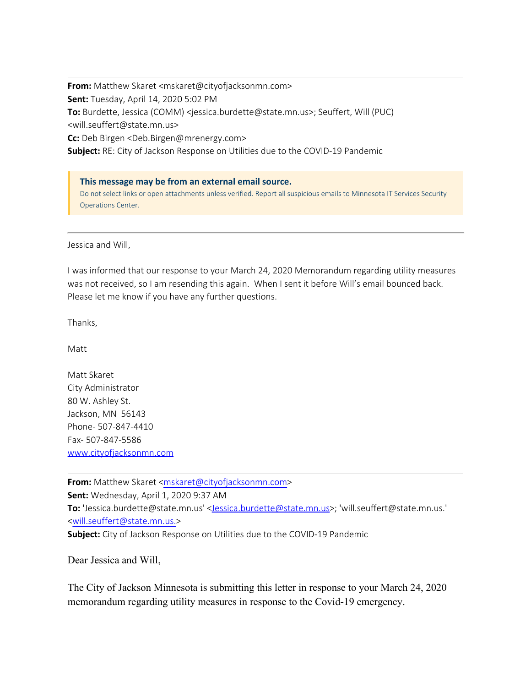**From:** Matthew Skaret <mskaret@cityofjacksonmn.com> **Sent:** Tuesday, April 14, 2020 5:02 PM **To:** Burdette, Jessica (COMM) <jessica.burdette@state.mn.us>; Seuffert, Will (PUC) <will.seuffert@state.mn.us> **Cc:** Deb Birgen <Deb.Birgen@mrenergy.com> **Subject:** RE: City of Jackson Response on Utilities due to the COVID-19 Pandemic

**This message may be from an external email source.** Do not select links or open attachments unless verified. Report all suspicious emails to Minnesota IT Services Security Operations Center.

Jessica and Will,

I was informed that our response to your March 24, 2020 Memorandum regarding utility measures was not received, so I am resending this again. When I sent it before Will's email bounced back. Please let me know if you have any further questions.

Thanks,

Matt

Matt Skaret City Administrator 80 W. Ashley St. Jackson, MN 56143 Phone- 507-847-4410 Fax- 507-847-5586 www.cityofjacksonmn.com

From: Matthew Skaret [<mskaret@cityofjacksonmn.com](mailto:mskaret@cityofjacksonmn.com)> **Sent:** Wednesday, April 1, 2020 9:37 AM **To:** ['Jessica.burdette@state](https://gcc01.safelinks.protection.outlook.com/?url=http%3A%2F%2Fwww.cityofjacksonmn.com%2F&data=02%7C01%7Crobin.benson%40state.mn.us%7C07df1ca14a354bb37d0108d7e0cc874f%7Ceb14b04624c445198f26b89c2159828c%7C0%7C0%7C637225041350927107&sdata=QL%2BqOKaF1i7pcjxC2zftUMDhkC1MgqE6hs818cC1TKw%3D&reserved=0).mn.us' [<Jessica.burdette@state.mn.us](mailto:Jessica.burdette@state.mn.us)>; 'will.seuffert@state.mn.us.' [<will.seuffert@state.mn.us.](mailto:will.seuffert@state.mn.us.)> **Subject:** City of Jackson Response on Utilities due to the COVID-19 Pandemic

Dear Jessica and Will,

The City of Jackson Minnesota is submitting this letter in response to your March 24, 2020 memorandum regarding utility measures in response to the Covid-19 emergency.